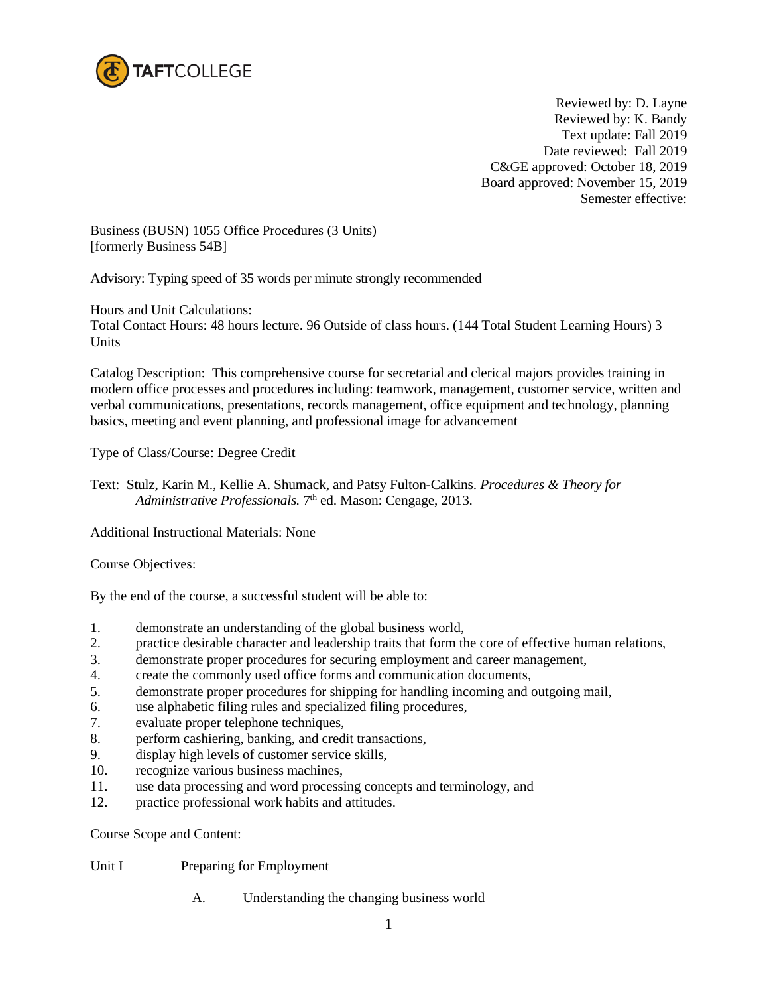

Reviewed by: D. Layne Reviewed by: K. Bandy Text update: Fall 2019 Date reviewed: Fall 2019 C&GE approved: October 18, 2019 Board approved: November 15, 2019 Semester effective:

Business (BUSN) 1055 Office Procedures (3 Units) [formerly Business 54B]

Advisory: Typing speed of 35 words per minute strongly recommended

Hours and Unit Calculations:

Total Contact Hours: 48 hours lecture. 96 Outside of class hours. (144 Total Student Learning Hours) 3 Units

Catalog Description: This comprehensive course for secretarial and clerical majors provides training in modern office processes and procedures including: teamwork, management, customer service, written and verbal communications, presentations, records management, office equipment and technology, planning basics, meeting and event planning, and professional image for advancement

Type of Class/Course: Degree Credit

Text: Stulz, Karin M., Kellie A. Shumack, and Patsy Fulton-Calkins. *Procedures & Theory for Administrative Professionals.* 7<sup>th</sup> ed. Mason: Cengage, 2013.

Additional Instructional Materials: None

Course Objectives:

By the end of the course, a successful student will be able to:

- 1. demonstrate an understanding of the global business world,
- 2. practice desirable character and leadership traits that form the core of effective human relations,
- 3. demonstrate proper procedures for securing employment and career management,
- 4. create the commonly used office forms and communication documents,
- 5. demonstrate proper procedures for shipping for handling incoming and outgoing mail,
- 6. use alphabetic filing rules and specialized filing procedures,
- 7. evaluate proper telephone techniques,
- 8. perform cashiering, banking, and credit transactions,
- 9. display high levels of customer service skills,
- 10. recognize various business machines,
- 11. use data processing and word processing concepts and terminology, and<br>12. uractice professional work habits and attitudes
- practice professional work habits and attitudes.

Course Scope and Content:

Unit I Preparing for Employment

A. Understanding the changing business world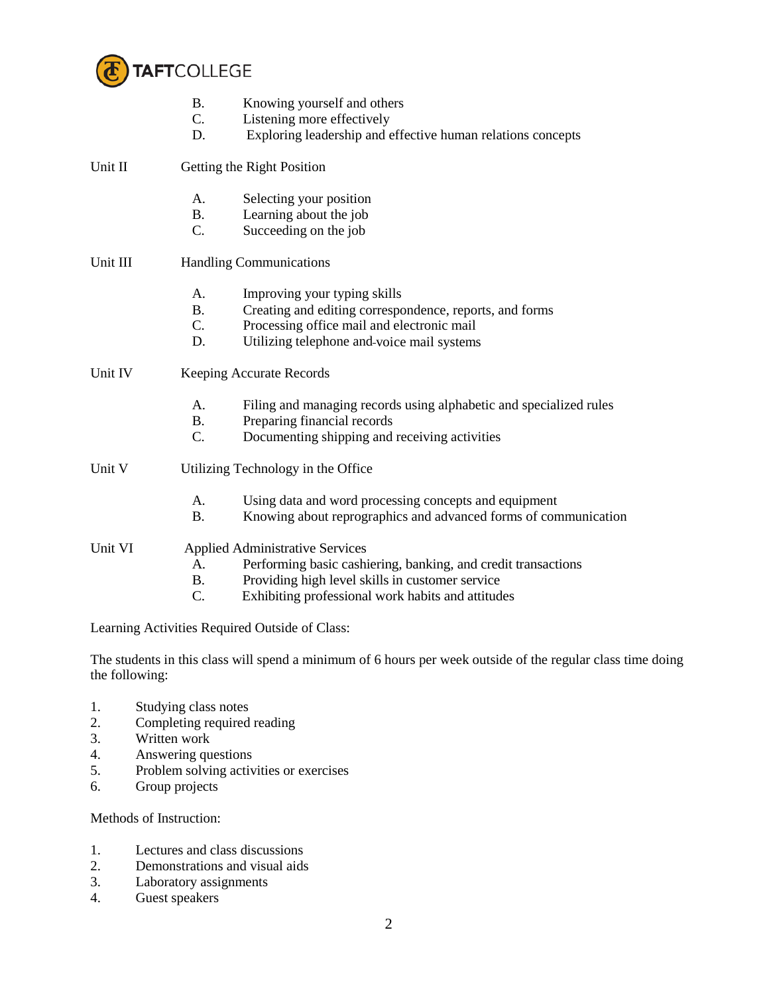

|          | <b>B.</b><br>C.<br>D.                            | Knowing yourself and others<br>Listening more effectively<br>Exploring leadership and effective human relations concepts                                                                                        |  |
|----------|--------------------------------------------------|-----------------------------------------------------------------------------------------------------------------------------------------------------------------------------------------------------------------|--|
| Unit II  |                                                  | Getting the Right Position                                                                                                                                                                                      |  |
|          | A.<br><b>B.</b>                                  | Selecting your position<br>Learning about the job                                                                                                                                                               |  |
|          | C.                                               | Succeeding on the job                                                                                                                                                                                           |  |
| Unit III | <b>Handling Communications</b>                   |                                                                                                                                                                                                                 |  |
|          | A <sub>1</sub><br><b>B.</b><br>$C_{\cdot}$<br>D. | Improving your typing skills<br>Creating and editing correspondence, reports, and forms<br>Processing office mail and electronic mail<br>Utilizing telephone and-voice mail systems                             |  |
| Unit IV  | <b>Keeping Accurate Records</b>                  |                                                                                                                                                                                                                 |  |
|          | A.<br><b>B.</b><br>C.                            | Filing and managing records using alphabetic and specialized rules<br>Preparing financial records<br>Documenting shipping and receiving activities                                                              |  |
| Unit V   | Utilizing Technology in the Office               |                                                                                                                                                                                                                 |  |
|          | A.<br><b>B.</b>                                  | Using data and word processing concepts and equipment<br>Knowing about reprographics and advanced forms of communication                                                                                        |  |
| Unit VI  | A.<br><b>B.</b><br>C.                            | <b>Applied Administrative Services</b><br>Performing basic cashiering, banking, and credit transactions<br>Providing high level skills in customer service<br>Exhibiting professional work habits and attitudes |  |

Learning Activities Required Outside of Class:

The students in this class will spend a minimum of 6 hours per week outside of the regular class time doing the following:

- 1. Studying class notes<br>2. Completing required
- Completing required reading
- 3. Written work<br>4. Answering qu
- 4. Answering questions
- 5. Problem solving activities or exercises
- 6. Group projects

Methods of Instruction:

- 1. Lectures and class discussions
- 2. Demonstrations and visual aids<br>3. Laboratory assignments
- Laboratory assignments
- 4. Guest speakers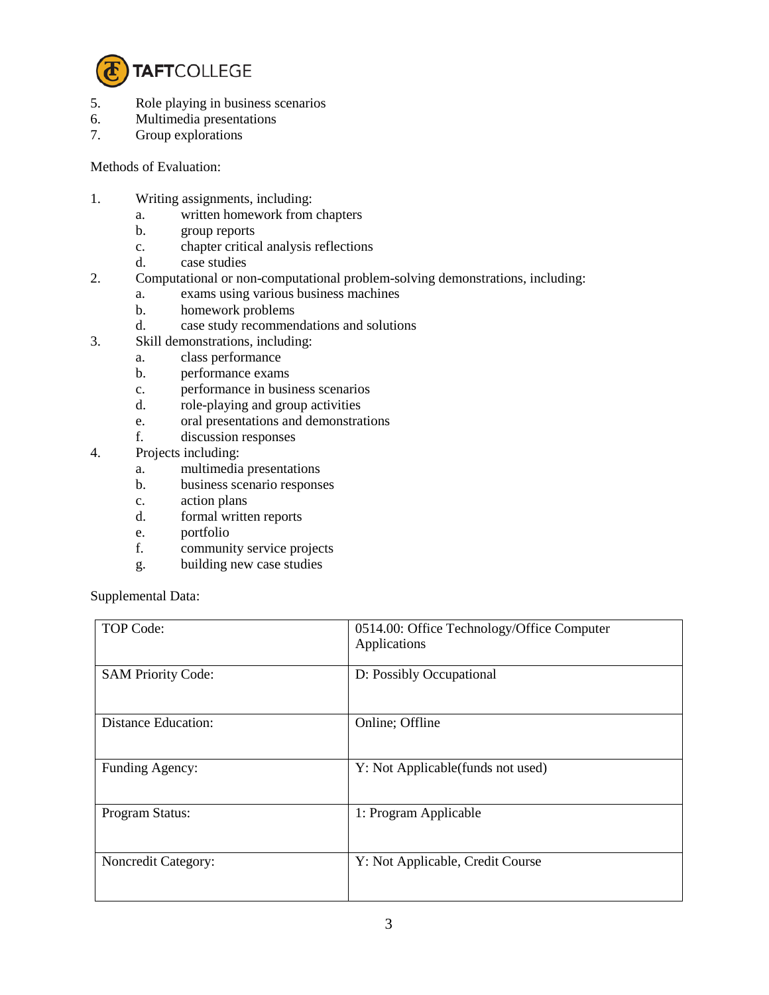

- 5. Role playing in business scenarios
- 6. Multimedia presentations
- 7. Group explorations

Methods of Evaluation:

- 1. Writing assignments, including:
	- a. written homework from chapters
	- b. group reports
	- c. chapter critical analysis reflections
	- d. case studies
- 2. Computational or non-computational problem-solving demonstrations, including:
	- a. exams using various business machines
	- b. homework problems
	- d. case study recommendations and solutions
- 3. Skill demonstrations, including:
	- a. class performance
	- b. performance exams
	- c. performance in business scenarios
	- d. role-playing and group activities
	- e. oral presentations and demonstrations
	- f. discussion responses
- 4. Projects including:
	- a. multimedia presentations
	- b. business scenario responses
	- c. action plans
	- d. formal written reports
	- e. portfolio
	- f. community service projects
	- g. building new case studies

Supplemental Data:

| TOP Code:                  | 0514.00: Office Technology/Office Computer<br>Applications |
|----------------------------|------------------------------------------------------------|
| <b>SAM Priority Code:</b>  | D: Possibly Occupational                                   |
| <b>Distance Education:</b> | Online; Offline                                            |
| Funding Agency:            | Y: Not Applicable (funds not used)                         |
| Program Status:            | 1: Program Applicable                                      |
| Noncredit Category:        | Y: Not Applicable, Credit Course                           |